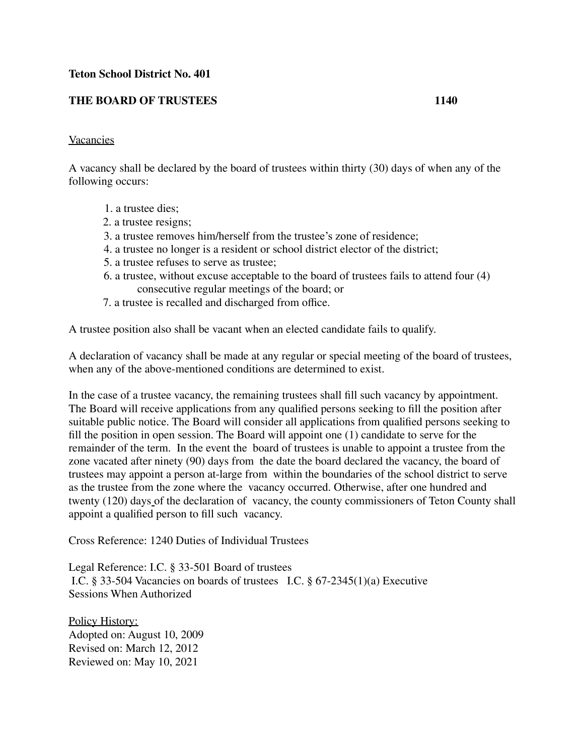## **Teton School District No. 401**

## **THE BOARD OF TRUSTEES 1140**

## Vacancies

A vacancy shall be declared by the board of trustees within thirty (30) days of when any of the following occurs:

- 1. a trustee dies;
- 2. a trustee resigns;
- 3. a trustee removes him/herself from the trustee's zone of residence;
- 4. a trustee no longer is a resident or school district elector of the district;
- 5. a trustee refuses to serve as trustee;
- 6. a trustee, without excuse acceptable to the board of trustees fails to attend four (4) consecutive regular meetings of the board; or
- 7. a trustee is recalled and discharged from office.

A trustee position also shall be vacant when an elected candidate fails to qualify.

A declaration of vacancy shall be made at any regular or special meeting of the board of trustees, when any of the above-mentioned conditions are determined to exist.

In the case of a trustee vacancy, the remaining trustees shall fill such vacancy by appointment. The Board will receive applications from any qualified persons seeking to fill the position after suitable public notice. The Board will consider all applications from qualified persons seeking to fill the position in open session. The Board will appoint one (1) candidate to serve for the remainder of the term. In the event the board of trustees is unable to appoint a trustee from the zone vacated after ninety (90) days from the date the board declared the vacancy, the board of trustees may appoint a person at-large from within the boundaries of the school district to serve as the trustee from the zone where the vacancy occurred. Otherwise, after one hundred and twenty (120) days of the declaration of vacancy, the county commissioners of Teton County shall appoint a qualified person to fill such vacancy.

Cross Reference: 1240 Duties of Individual Trustees

Legal Reference: I.C. § 33-501 Board of trustees I.C. § 33-504 Vacancies on boards of trustees I.C. § 67-2345(1)(a) Executive Sessions When Authorized

Policy History: Adopted on: August 10, 2009 Revised on: March 12, 2012 Reviewed on: May 10, 2021